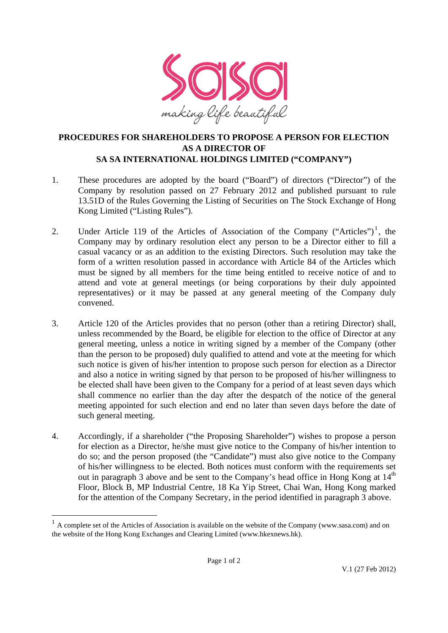

## **PROCEDURES FOR SHAREHOLDERS TO PROPOSE A PERSON FOR ELECTION AS A DIRECTOR OF SA SA INTERNATIONAL HOLDINGS LIMITED ("COMPANY")**

- 1. These procedures are adopted by the board ("Board") of directors ("Director") of the Company by resolution passed on 27 February 2012 and published pursuant to rule 13.51D of the Rules Governing the Listing of Securities on The Stock Exchange of Hong Kong Limited ("Listing Rules").
- 2. Under Article 119 of the Articles of Association of the Company ("Articles")<sup>1</sup>, the Company may by ordinary resolution elect any person to be a Director either to fill a casual vacancy or as an addition to the existing Directors. Such resolution may take the form of a written resolution passed in accordance with Article 84 of the Articles which must be signed by all members for the time being entitled to receive notice of and to attend and vote at general meetings (or being corporations by their duly appointed representatives) or it may be passed at any general meeting of the Company duly convened.
- 3. Article 120 of the Articles provides that no person (other than a retiring Director) shall, unless recommended by the Board, be eligible for election to the office of Director at any general meeting, unless a notice in writing signed by a member of the Company (other than the person to be proposed) duly qualified to attend and vote at the meeting for which such notice is given of his/her intention to propose such person for election as a Director and also a notice in writing signed by that person to be proposed of his/her willingness to be elected shall have been given to the Company for a period of at least seven days which shall commence no earlier than the day after the despatch of the notice of the general meeting appointed for such election and end no later than seven days before the date of such general meeting.
- 4. Accordingly, if a shareholder ("the Proposing Shareholder") wishes to propose a person for election as a Director, he/she must give notice to the Company of his/her intention to do so; and the person proposed (the "Candidate") must also give notice to the Company of his/her willingness to be elected. Both notices must conform with the requirements set out in paragraph 3 above and be sent to the Company's head office in Hong Kong at  $14<sup>th</sup>$ Floor, Block B, MP Industrial Centre, 18 Ka Yip Street, Chai Wan, Hong Kong marked for the attention of the Company Secretary, in the period identified in paragraph 3 above.

-

<sup>&</sup>lt;sup>1</sup> A complete set of the Articles of Association is available on the website of the Company (www.sasa.com) and on the website of the Hong Kong Exchanges and Clearing Limited (www.hkexnews.hk).